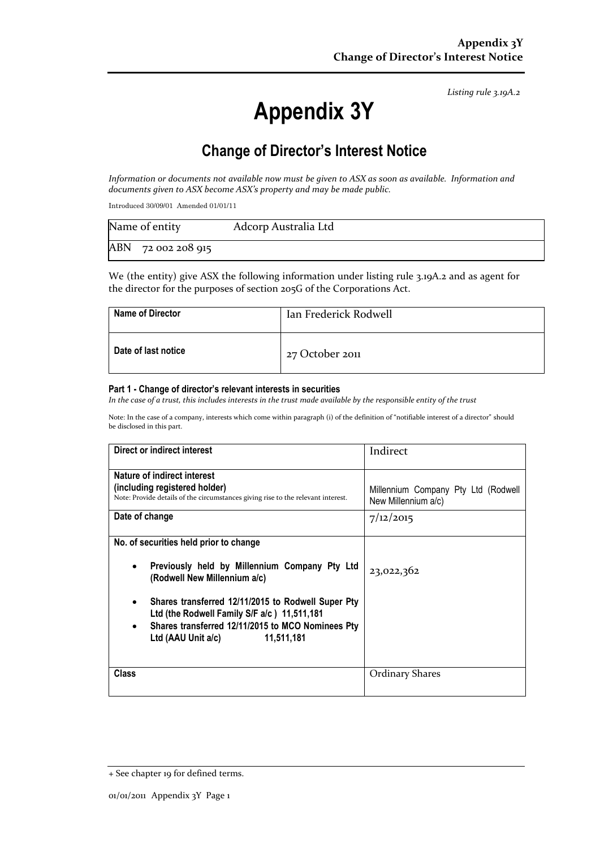*Listing rule 3.19A.2*

# **Appendix 3Y**

# **Change of Director's Interest Notice**

*Information or documents not available now must be given to ASX as soon as available. Information and documents given to ASX become ASX's property and may be made public.*

Introduced 30/09/01 Amended 01/01/11

| Name of entity     | Adcorp Australia Ltd |
|--------------------|----------------------|
| ABN 72 002 208 915 |                      |

We (the entity) give ASX the following information under listing rule 3.19A.2 and as agent for the director for the purposes of section 205G of the Corporations Act.

| <b>Name of Director</b> | Ian Frederick Rodwell |
|-------------------------|-----------------------|
| Date of last notice     | 27 October 2011       |

#### **Part 1 - Change of director's relevant interests in securities**

*In the case of a trust, this includes interests in the trust made available by the responsible entity of the trust*

Note: In the case of a company, interests which come within paragraph (i) of the definition of "notifiable interest of a director" should be disclosed in this part.

| Direct or indirect interest                                                                                                                                                                                                                                                                                                        | Indirect                                                   |
|------------------------------------------------------------------------------------------------------------------------------------------------------------------------------------------------------------------------------------------------------------------------------------------------------------------------------------|------------------------------------------------------------|
| Nature of indirect interest                                                                                                                                                                                                                                                                                                        |                                                            |
| (including registered holder)<br>Note: Provide details of the circumstances giving rise to the relevant interest.                                                                                                                                                                                                                  | Millennium Company Pty Ltd (Rodwell<br>New Millennium a/c) |
| Date of change                                                                                                                                                                                                                                                                                                                     | 7/12/2015                                                  |
| No. of securities held prior to change<br>Previously held by Millennium Company Pty Ltd<br>$\bullet$<br>(Rodwell New Millennium a/c)<br>Shares transferred 12/11/2015 to Rodwell Super Pty<br>Ltd (the Rodwell Family S/F a/c) 11,511,181<br>Shares transferred 12/11/2015 to MCO Nominees Pty<br>Ltd (AAU Unit a/c)<br>11,511,181 | 23,022,362                                                 |
| <b>Class</b>                                                                                                                                                                                                                                                                                                                       | <b>Ordinary Shares</b>                                     |

<sup>+</sup> See chapter 19 for defined terms.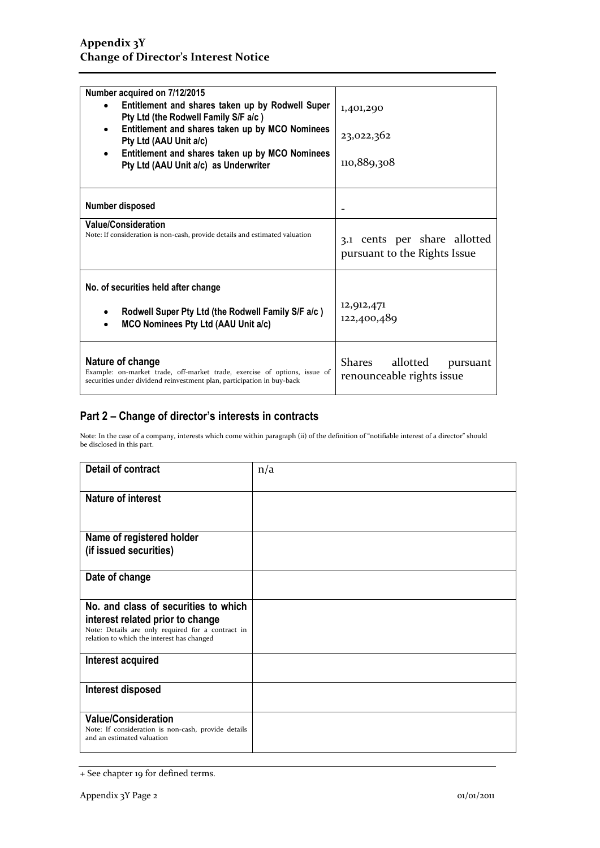| Number acquired on 7/12/2015                                                                                                                                            |                                                              |
|-------------------------------------------------------------------------------------------------------------------------------------------------------------------------|--------------------------------------------------------------|
| Entitlement and shares taken up by Rodwell Super<br>$\bullet$<br>Pty Ltd (the Rodwell Family S/F a/c)                                                                   | 1,401,290                                                    |
| Entitlement and shares taken up by MCO Nominees<br>$\bullet$<br>Pty Ltd (AAU Unit a/c)                                                                                  | 23,022,362                                                   |
| Entitlement and shares taken up by MCO Nominees<br>$\bullet$<br>Pty Ltd (AAU Unit a/c) as Underwriter                                                                   | 110,889,308                                                  |
| Number disposed                                                                                                                                                         |                                                              |
| <b>Value/Consideration</b><br>Note: If consideration is non-cash, provide details and estimated valuation                                                               | 3.1 cents per share allotted<br>pursuant to the Rights Issue |
| No. of securities held after change<br>Rodwell Super Pty Ltd (the Rodwell Family S/F a/c)<br>$\bullet$<br><b>MCO Nominees Pty Ltd (AAU Unit a/c)</b><br>$\bullet$       | 12,912,471<br>122,400,489                                    |
| Nature of change<br>Example: on-market trade, off-market trade, exercise of options, issue of<br>securities under dividend reinvestment plan, participation in buy-back | Shares<br>allotted<br>pursuant<br>renounceable rights issue  |

### **Part 2 – Change of director's interests in contracts**

Note: In the case of a company, interests which come within paragraph (ii) of the definition of "notifiable interest of a director" should be disclosed in this part.

| <b>Detail of contract</b>                                                                                                           | n/a |
|-------------------------------------------------------------------------------------------------------------------------------------|-----|
| <b>Nature of interest</b>                                                                                                           |     |
| Name of registered holder<br>(if issued securities)                                                                                 |     |
|                                                                                                                                     |     |
| Date of change                                                                                                                      |     |
| No. and class of securities to which                                                                                                |     |
| interest related prior to change<br>Note: Details are only required for a contract in<br>relation to which the interest has changed |     |
| Interest acquired                                                                                                                   |     |
| Interest disposed                                                                                                                   |     |
| <b>Value/Consideration</b><br>Note: If consideration is non-cash, provide details<br>and an estimated valuation                     |     |

<sup>+</sup> See chapter 19 for defined terms.